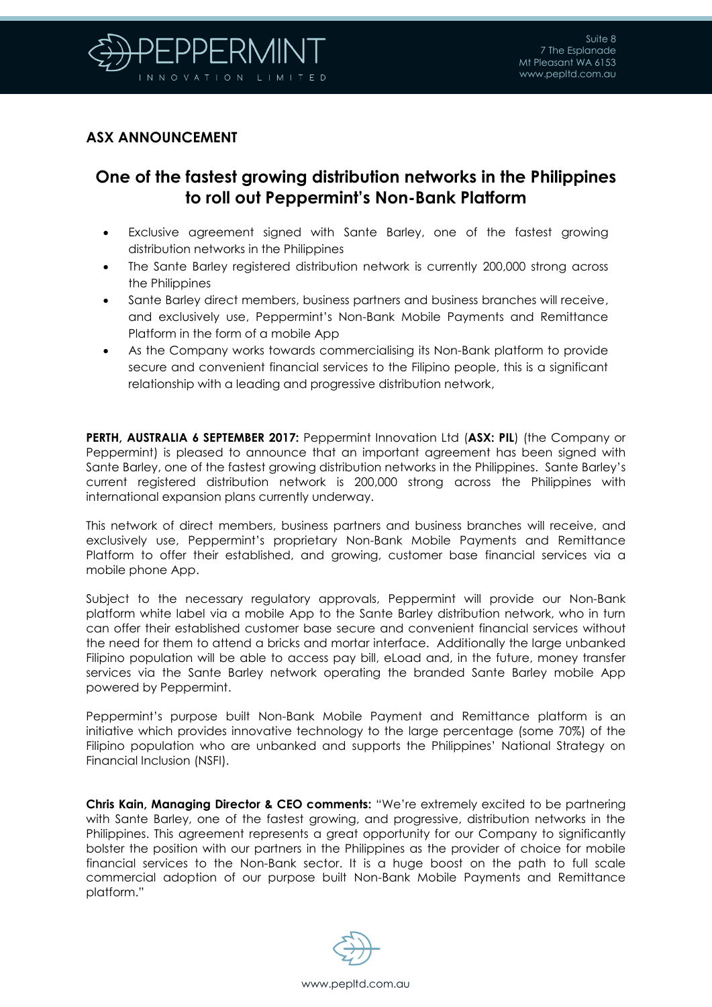

## **ASX ANNOUNCEMENT**

## **One of the fastest growing distribution networks in the Philippines to roll out Peppermint's Non-Bank Platform**

- Exclusive agreement signed with Sante Barley, one of the fastest growing distribution networks in the Philippines
- The Sante Barley registered distribution network is currently 200,000 strong across the Philippines
- Sante Barley direct members, business partners and business branches will receive, and exclusively use, Peppermint's Non-Bank Mobile Payments and Remittance Platform in the form of a mobile App
- As the Company works towards commercialising its Non-Bank platform to provide secure and convenient financial services to the Filipino people, this is a significant relationship with a leading and progressive distribution network,

**PERTH, AUSTRALIA 6 SEPTEMBER 2017:** Peppermint Innovation Ltd (**ASX: PIL**) (the Company or Peppermint) is pleased to announce that an important agreement has been signed with Sante Barley, one of the fastest growing distribution networks in the Philippines. Sante Barley's current registered distribution network is 200,000 strong across the Philippines with international expansion plans currently underway.

This network of direct members, business partners and business branches will receive, and exclusively use, Peppermint's proprietary Non-Bank Mobile Payments and Remittance Platform to offer their established, and growing, customer base financial services via a mobile phone App.

Subject to the necessary regulatory approvals, Peppermint will provide our Non-Bank platform white label via a mobile App to the Sante Barley distribution network, who in turn can offer their established customer base secure and convenient financial services without the need for them to attend a bricks and mortar interface. Additionally the large unbanked Filipino population will be able to access pay bill, eLoad and, in the future, money transfer services via the Sante Barley network operating the branded Sante Barley mobile App powered by Peppermint.

Peppermint's purpose built Non-Bank Mobile Payment and Remittance platform is an initiative which provides innovative technology to the large percentage (some 70%) of the Filipino population who are unbanked and supports the Philippines' National Strategy on Financial Inclusion (NSFI).

**Chris Kain, Managing Director & CEO comments:** "We're extremely excited to be partnering with Sante Barley, one of the fastest growing, and progressive, distribution networks in the Philippines. This agreement represents a great opportunity for our Company to significantly bolster the position with our partners in the Philippines as the provider of choice for mobile financial services to the Non-Bank sector. It is a huge boost on the path to full scale commercial adoption of our purpose built Non-Bank Mobile Payments and Remittance platform."